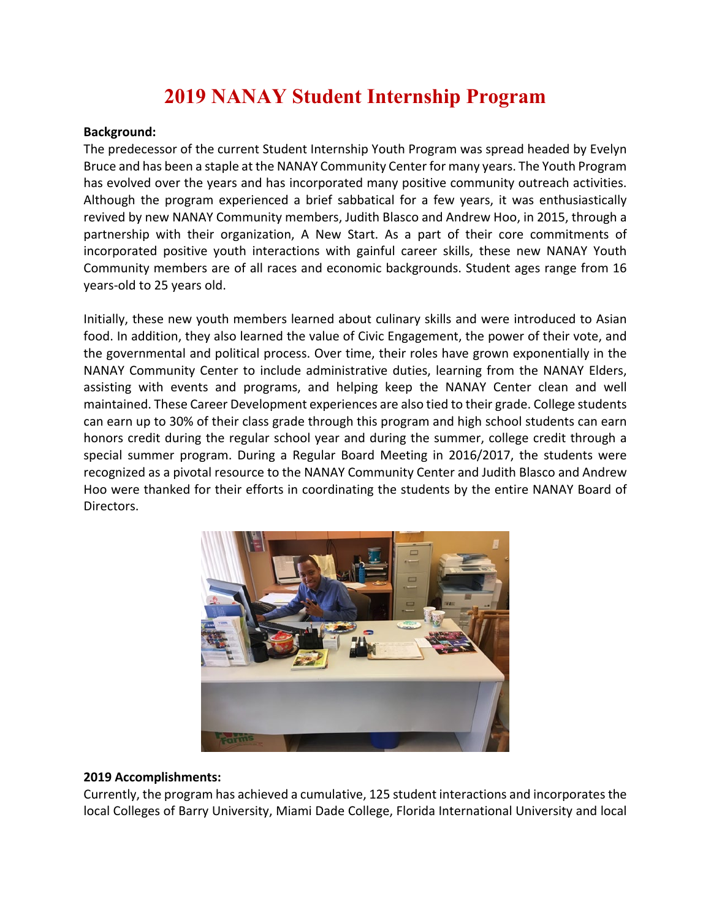## **2019 NANAY Student Internship Program**

## **Background:**

The predecessor of the current Student Internship Youth Program was spread headed by Evelyn Bruce and has been a staple at the NANAY Community Center for many years. The Youth Program has evolved over the years and has incorporated many positive community outreach activities. Although the program experienced a brief sabbatical for a few years, it was enthusiastically revived by new NANAY Community members, Judith Blasco and Andrew Hoo, in 2015, through a partnership with their organization, A New Start. As a part of their core commitments of incorporated positive youth interactions with gainful career skills, these new NANAY Youth Community members are of all races and economic backgrounds. Student ages range from 16 years-old to 25 years old.

Initially, these new youth members learned about culinary skills and were introduced to Asian food. In addition, they also learned the value of Civic Engagement, the power of their vote, and the governmental and political process. Over time, their roles have grown exponentially in the NANAY Community Center to include administrative duties, learning from the NANAY Elders, assisting with events and programs, and helping keep the NANAY Center clean and well maintained. These Career Development experiences are also tied to their grade. College students can earn up to 30% of their class grade through this program and high school students can earn honors credit during the regular school year and during the summer, college credit through a special summer program. During a Regular Board Meeting in 2016/2017, the students were recognized as a pivotal resource to the NANAY Community Center and Judith Blasco and Andrew Hoo were thanked for their efforts in coordinating the students by the entire NANAY Board of Directors.



## **2019 Accomplishments:**

Currently, the program has achieved a cumulative, 125 student interactions and incorporates the local Colleges of Barry University, Miami Dade College, Florida International University and local